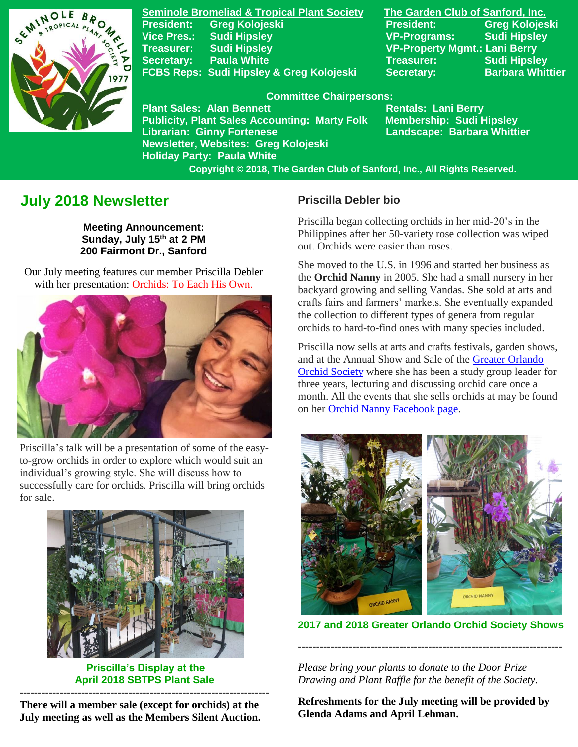

**Seminole Bromeliad & Tropical Plant Society The Garden Club of Sanford, Inc. President: Greg Kolojeski President: Greg Kolojeski Vice Pres.: Sudi Hipsley VP-Programs: Sudi Hipsley Treasurer: Sudi Hipsley VP-Property Mgmt.: Lani Berry Secretary:** Paula White Treasurer: Sudi Hipsley FCBS Reps: Sudi Hipsley & Greg Kolojeski Secretary: Barbara Whittier

#### **Committee Chairpersons:**

**Plant Sales: Alan Bennett** Rentals: Lani Berry **Publicity, Plant Sales Accounting: Marty Folk Membership: Sudi Hipsley** Librarian: Ginny Fortenese **Landscape: Barbara Whittier Newsletter, Websites: Greg Kolojeski Holiday Party: Paula White** 

 **Copyright © 2018, The Garden Club of Sanford, Inc., All Rights Reserved.**

# **July 2018 Newsletter**

**Meeting Announcement: Sunday, July 15 th at 2 PM 200 Fairmont Dr., Sanford**

 Our July meeting features our member Priscilla Debler with her presentation: Orchids: To Each His Own.



Priscilla's talk will be a presentation of some of the easyto-grow orchids in order to explore which would suit an individual's growing style. She will discuss how to successfully care for orchids. Priscilla will bring orchids for sale.



 **Priscilla's Display at the April 2018 SBTPS Plant Sale**

**--------------------------------------------------------------------- There will a member sale (except for orchids) at the July meeting as well as the Members Silent Auction.**

#### **Priscilla Debler bio**

Priscilla began collecting orchids in her mid-20's in the Philippines after her 50-variety rose collection was wiped out. Orchids were easier than roses.

She moved to the U.S. in 1996 and started her business as the **Orchid Nanny** in 2005. She had a small nursery in her backyard growing and selling Vandas. She sold at arts and crafts fairs and farmers' markets. She eventually expanded the collection to different types of genera from regular orchids to hard-to-find ones with many species included.

Priscilla now sells at arts and crafts festivals, garden shows, and at the Annual Show and Sale of the [Greater Orlando](http://greaterorlandoorchidsociety.com/)  [Orchid Society](http://greaterorlandoorchidsociety.com/) where she has been a study group leader for three years, lecturing and discussing orchid care once a month. All the events that she sells orchids at may be found on he[r Orchid Nanny Facebook page.](https://www.facebook.com/orchidnanny/)



**2017 and 2018 Greater Orlando Orchid Society Shows**

**-------------------------------------------------------------------------**

*Please bring your plants to donate to the Door Prize Drawing and Plant Raffle for the benefit of the Society.*

**Refreshments for the July meeting will be provided by Glenda Adams and April Lehman.**